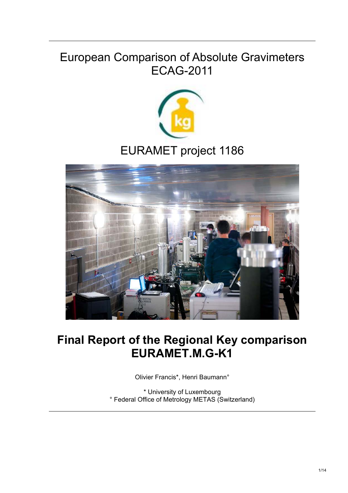# European Comparison of Absolute Gravimeters ECAG-2011



# EURAMET project 1186



# **Final Report of the Regional Key comparison EURAMET.M.G-K1**

Olivier Francis\*, Henri Baumann°

\* University of Luxembourg ° Federal Office of Metrology METAS (Switzerland)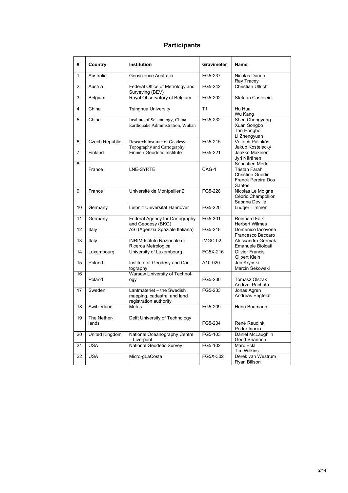#### **Participants**

| #              | Country               | <b>Institution</b>                                                                  | Gravimeter | Name                                                                                                 |
|----------------|-----------------------|-------------------------------------------------------------------------------------|------------|------------------------------------------------------------------------------------------------------|
| 1              | Australia             | Geoscience Australia                                                                | FG5-237    | Nicolas Dando<br>Ray Tracey                                                                          |
| $\overline{2}$ | Austria               | Federal Office of Metrology and<br>Surveying (BEV)                                  | $FG5-242$  | Christian Ullrich                                                                                    |
| 3              | Belgium               | Royal Observatory of Belgium                                                        | FG5-202    | Stefaan Castelein                                                                                    |
| 4              | China                 | <b>Tsinghua University</b>                                                          | T1         | Hu Hua<br>Wu Kang                                                                                    |
| 5              | China                 | Institute of Seismology, China<br>Earthquake Administration, Wuhan                  | FG5-232    | Shen Chongyang<br>Xuan Songbo<br>Tan Hongbo<br>Li Zhengyuan                                          |
| 6              | <b>Czech Republic</b> | Research Institute of Geodesy,<br>Topography and Cartography                        | FG5-215    | Vojtech Pálinkás<br>Jakub Kostelecký                                                                 |
| 7              | Finland               | Finnish Geodetic Institute                                                          | FG5-221    | Jaakko Mäkinen<br>Jyri Näränen                                                                       |
| 8              | France                | LNE-SYRTE                                                                           | CAG-1      | Sébastien Merlet<br><b>Tristan Farah</b><br><b>Christine Guerlin</b><br>Franck Pereira Dos<br>Santos |
| 9              | France                | Université de Montpellier 2                                                         | FG5-228    | Nicolas Le Moigne<br>Cédric Champollion<br>Sabrina Deville                                           |
| 10             | Germany               | Leibniz Universität Hannover                                                        | FG5-220    | Ludger Timmen                                                                                        |
| 11             | Germany               | Federal Agency for Cartography<br>and Geodesy (BKG)                                 | FG5-301    | <b>Reinhard Falk</b><br><b>Herbert Wilmes</b>                                                        |
| 12             | Italy                 | ASI (Agenzia Spaziale Italiana)                                                     | FG5-218    | Domenico lacovone<br>Francesco Baccaro                                                               |
| 13             | Italy                 | <b>INRIM-Istituto Nazionale di</b><br>Ricerca Metrologica                           | IMGC-02    | Alessandro Germak<br>Emanuele Biolcati                                                               |
| 14             | Luxembourg            | University of Luxembourg                                                            | FG5X-216   | <b>Olivier Francis</b><br>Gilbert Klein                                                              |
| 15             | Poland                | Institute of Geodesy and Car-<br>tography                                           | A10-020    | Jan Krynski<br>Marcin Sekowski                                                                       |
| 16             | Poland                | Warsaw University of Technol-<br>ogy                                                | FG5-230    | <b>Tomasz Olszak</b><br>Andrzej Pachuta                                                              |
| 17             | Sweden                | Lantmäteriet - the Swedish<br>mapping, cadastral and land<br>registration authority | FG5-233    | Jonas Agren<br>Andreas Engfeldt                                                                      |
| 18             | Switzerland           | Metas                                                                               | FG5-209    | Henri Baumann                                                                                        |
| 19             | The Nether-<br>lands  | Delft University of Technology                                                      | FG5-234    | René Reudink<br>Pedro Inacio                                                                         |
| 20             | United Kingdom        | National Oceanography Centre<br>– Liverpool                                         | FG5-103    | Daniel McLaughlin<br>Geoff Shannon                                                                   |
| 21             | <b>USA</b>            | National Geodetic Survey                                                            | FG5-102    | Marc Eckl<br><b>Tim Wilkins</b>                                                                      |
| 22             | <b>USA</b>            | Micro-gLaCoste                                                                      | FG5X-302   | Derek van Westrum<br>Ryan Billson                                                                    |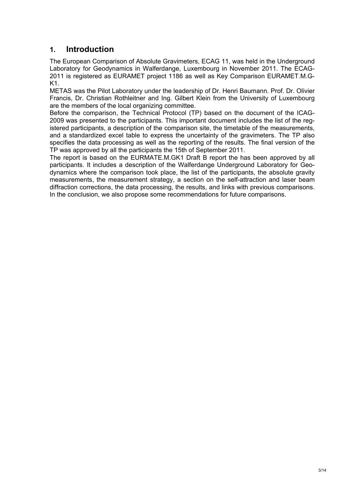## **1. Introduction**

The European Comparison of Absolute Gravimeters, ECAG 11, was held in the Underground Laboratory for Geodynamics in Walferdange, Luxembourg in November 2011. The ECAG-2011 is registered as EURAMET project 1186 as well as Key Comparison EURAMET.M.G-K1.

METAS was the Pilot Laboratory under the leadership of Dr. Henri Baumann. Prof. Dr. Olivier Francis, Dr. Christian Rothleitner and Ing. Gilbert Klein from the University of Luxembourg are the members of the local organizing committee.

Before the comparison, the Technical Protocol (TP) based on the document of the ICAG-2009 was presented to the participants. This important document includes the list of the registered participants, a description of the comparison site, the timetable of the measurements, and a standardized excel table to express the uncertainty of the gravimeters. The TP also specifies the data processing as well as the reporting of the results. The final version of the TP was approved by all the participants the 15th of September 2011.

The report is based on the EURMATE.M.GK1 Draft B report the has been approved by all participants. It includes a description of the Walferdange Underground Laboratory for Geodynamics where the comparison took place, the list of the participants, the absolute gravity measurements, the measurement strategy, a section on the self-attraction and laser beam diffraction corrections, the data processing, the results, and links with previous comparisons. In the conclusion, we also propose some recommendations for future comparisons.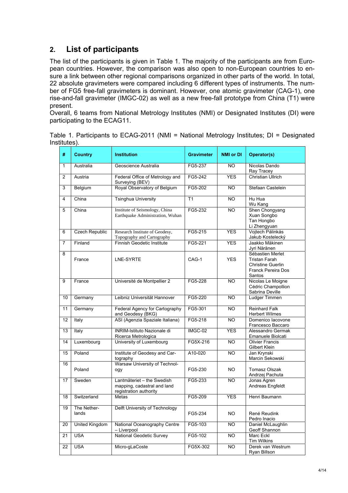# **2. List of participants**

The list of the participants is given in Table 1. The majority of the participants are from European countries. However, the comparison was also open to non-European countries to ensure a link between other regional comparisons organized in other parts of the world. In total, 22 absolute gravimeters were compared including 6 different types of instruments. The number of FG5 free-fall gravimeters is dominant. However, one atomic gravimeter (CAG-1), one rise-and-fall gravimeter (IMGC-02) as well as a new free-fall prototype from China (T1) were present.

Overall, 6 teams from National Metrology Institutes (NMI) or Designated Institutes (DI) were participating to the ECAG11.

| Table 1. Participants to ECAG-2011 (NMI = National Metrology Institutes; DI = Designated |  |  |  |
|------------------------------------------------------------------------------------------|--|--|--|
| Institutes).                                                                             |  |  |  |

| #              | <b>Country</b>       | <b>Institution</b>                                                                  | <b>Gravimeter</b> | <b>NMI or DI</b> | Operator(s)                                                                                                 |
|----------------|----------------------|-------------------------------------------------------------------------------------|-------------------|------------------|-------------------------------------------------------------------------------------------------------------|
| $\mathbf{1}$   | Australia            | Geoscience Australia                                                                | FG5-237           | NO.              | Nicolas Dando<br>Ray Tracey                                                                                 |
| 2              | Austria              | Federal Office of Metrology and<br>Surveying (BEV)                                  | FG5-242           | <b>YES</b>       | Christian Ullrich                                                                                           |
| 3              | Belgium              | Royal Observatory of Belgium                                                        | FG5-202           | <b>NO</b>        | Stefaan Castelein                                                                                           |
| $\overline{4}$ | China                | <b>Tsinghua University</b>                                                          | T1                | <b>NO</b>        | Hu Hua<br>Wu Kang                                                                                           |
| 5              | China                | Institute of Seismology, China<br>Earthquake Administration, Wuhan                  | FG5-232           | <b>NO</b>        | Shen Chongyang<br>Xuan Songbo<br>Tan Hongbo<br>Li Zhengyuan                                                 |
| 6              | Czech Republic       | Research Institute of Geodesy,<br>Topography and Cartography                        | FG5-215           | <b>YES</b>       | Vojtech Pálinkás<br>Jakub Kostelecký                                                                        |
| 7              | Finland              | Finnish Geodetic Institute                                                          | FG5-221           | <b>YES</b>       | Jaakko Mäkinen<br>Jyri Näränen                                                                              |
| 8              | France               | LNE-SYRTE                                                                           | CAG-1             | <b>YES</b>       | Sébastien Merlet<br><b>Tristan Farah</b><br><b>Christine Guerlin</b><br><b>Franck Pereira Dos</b><br>Santos |
| 9              | France               | Université de Montpellier 2                                                         | FG5-228           | NO.              | Nicolas Le Moigne<br>Cédric Champollion<br>Sabrina Deville                                                  |
| 10             | Germany              | Leibniz Universität Hannover                                                        | FG5-220           | <b>NO</b>        | Ludger Timmen                                                                                               |
| 11             | Germany              | Federal Agency for Cartography<br>and Geodesy (BKG)                                 | FG5-301           | <b>NO</b>        | <b>Reinhard Falk</b><br><b>Herbert Wilmes</b>                                                               |
| 12             | Italy                | ASI (Agenzia Spaziale Italiana)                                                     | FG5-218           | <b>NO</b>        | Domenico lacovone<br>Francesco Baccaro                                                                      |
| 13             | Italy                | <b>INRIM-Istituto Nazionale di</b><br>Ricerca Metrologica                           | IMGC-02           | <b>YES</b>       | Alessandro Germak<br>Emanuele Biolcati                                                                      |
| 14             | Luxembourg           | University of Luxembourg                                                            | FG5X-216          | $\overline{NO}$  | <b>Olivier Francis</b><br>Gilbert Klein                                                                     |
| 15             | Poland               | Institute of Geodesy and Car-<br>tography                                           | A10-020           | $\overline{NO}$  | Jan Krynski<br>Marcin Sekowski                                                                              |
| 16             | Poland               | Warsaw University of Technol-<br>ogy                                                | FG5-230           | NO.              | Tomasz Olszak<br>Andrzej Pachuta                                                                            |
| 17             | Sweden               | Lantmäteriet - the Swedish<br>mapping, cadastral and land<br>registration authority | FG5-233           | <b>NO</b>        | Jonas Agren<br>Andreas Engfeldt                                                                             |
| 18             | Switzerland          | Metas                                                                               | FG5-209           | <b>YES</b>       | Henri Baumann                                                                                               |
| 19             | The Nether-<br>lands | Delft University of Technology                                                      | FG5-234           | NO.              | René Reudink<br>Pedro Inacio                                                                                |
| 20             | United Kingdom       | National Oceanography Centre<br>- Liverpool                                         | FG5-103           | <b>NO</b>        | Daniel McLaughlin<br>Geoff Shannon                                                                          |
| 21             | <b>USA</b>           | <b>National Geodetic Survey</b>                                                     | FG5-102           | <b>NO</b>        | Marc Eckl<br>Tim Wilkins                                                                                    |
| 22             | <b>USA</b>           | Micro-gLaCoste                                                                      | FG5X-302          | <b>NO</b>        | Derek van Westrum<br>Ryan Billson                                                                           |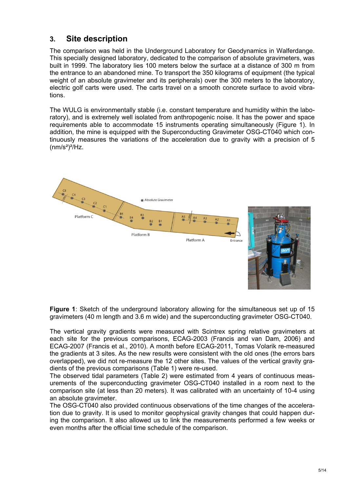#### **3. Site description**

The comparison was held in the Underground Laboratory for Geodynamics in Walferdange. This specially designed laboratory, dedicated to the comparison of absolute gravimeters, was built in 1999. The laboratory lies 100 meters below the surface at a distance of 300 m from the entrance to an abandoned mine. To transport the 350 kilograms of equipment (the typical weight of an absolute gravimeter and its peripherals) over the 300 meters to the laboratory, electric golf carts were used. The carts travel on a smooth concrete surface to avoid vibrations.

The WULG is environmentally stable (i.e. constant temperature and humidity within the laboratory), and is extremely well isolated from anthropogenic noise. It has the power and space requirements able to accommodate 15 instruments operating simultaneously (Figure 1). In addition, the mine is equipped with the Superconducting Gravimeter OSG-CT040 which continuously measures the variations of the acceleration due to gravity with a precision of 5  $(nm/s<sup>2</sup>)<sup>2</sup>/Hz.$ 



**Figure 1**: Sketch of the underground laboratory allowing for the simultaneous set up of 15 gravimeters (40 m length and 3.6 m wide) and the superconducting gravimeter OSG-CT040.

The vertical gravity gradients were measured with Scintrex spring relative gravimeters at each site for the previous comparisons, ECAG-2003 (Francis and van Dam, 2006) and ECAG-2007 (Francis et al., 2010). A month before ECAG-2011, Tomas Volarik re-measured the gradients at 3 sites. As the new results were consistent with the old ones (the errors bars overlapped), we did not re-measure the 12 other sites. The values of the vertical gravity gradients of the previous comparisons (Table 1) were re-used.

The observed tidal parameters (Table 2) were estimated from 4 years of continuous measurements of the superconducting gravimeter OSG-CT040 installed in a room next to the comparison site (at less than 20 meters). It was calibrated with an uncertainty of 10-4 using an absolute gravimeter.

The OSG-CT040 also provided continuous observations of the time changes of the acceleration due to gravity. It is used to monitor geophysical gravity changes that could happen during the comparison. It also allowed us to link the measurements performed a few weeks or even months after the official time schedule of the comparison.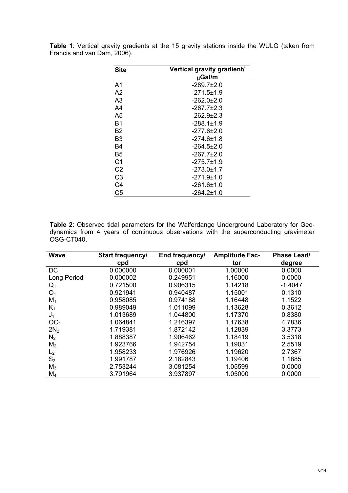| <b>Site</b>    | Vertical gravity gradient/ |
|----------------|----------------------------|
|                | µGal/m                     |
| A <sub>1</sub> | $-289.7+2.0$               |
| A2             | $-271.5+1.9$               |
| A3             | -262.0±2.0                 |
| A4             | $-267.7 \pm 2.3$           |
| Α5             | $-262.9+2.3$               |
| Β1             | $-288.1 \pm 1.9$           |
| B2             | $-277.6 \pm 2.0$           |
| B3             | -274 6+1 8                 |
| B4             | -264.5±2.0                 |
| Β5             | -267.7±2.0                 |
| C1             | $-275.7+1.9$               |
| C2             | $-273.0 \pm 1.7$           |
| C3             | $-271.9 \pm 1.0$           |
| C4             | -261.6±1.0                 |
| C <sub>5</sub> | $-264.2 \pm 1.0$           |

**Table 1**: Vertical gravity gradients at the 15 gravity stations inside the WULG (taken from Francis and van Dam, 2006).

**Table 2**: Observed tidal parameters for the Walferdange Underground Laboratory for Geodynamics from 4 years of continuous observations with the superconducting gravimeter OSG-CT040.

| <b>Wave</b>     | Start frequency/ | End frequency/ | <b>Amplitude Fac-</b> | Phase Lead/ |
|-----------------|------------------|----------------|-----------------------|-------------|
|                 | cpd              | cpd            | tor                   | degree      |
| DC              | 0.000000         | 0.000001       | 1.00000               | 0.0000      |
| Long Period     | 0.000002         | 0.249951       | 1.16000               | 0.0000      |
| $\mathsf{Q}_1$  | 0.721500         | 0.906315       | 1.14218               | $-1.4047$   |
| O <sub>1</sub>  | 0.921941         | 0.940487       | 1.15001               | 0.1310      |
| $M_1$           | 0.958085         | 0.974188       | 1.16448               | 1.1522      |
| $K_1$           | 0.989049         | 1.011099       | 1.13628               | 0.3612      |
| $J_1$           | 1.013689         | 1.044800       | 1.17370               | 0.8380      |
| OO <sub>1</sub> | 1.064841         | 1.216397       | 1.17638               | 4.7836      |
| 2N <sub>2</sub> | 1.719381         | 1.872142       | 1.12839               | 3.3773      |
| $N_2$           | 1.888387         | 1.906462       | 1.18419               | 3.5318      |
| M <sub>2</sub>  | 1.923766         | 1.942754       | 1.19031               | 2.5519      |
| L <sub>2</sub>  | 1.958233         | 1.976926       | 1.19620               | 2.7367      |
| S <sub>2</sub>  | 1.991787         | 2.182843       | 1.19406               | 1.1885      |
| $M_3$           | 2.753244         | 3.081254       | 1.05599               | 0.0000      |
| $M_4$           | 3.791964         | 3.937897       | 1.05000               | 0.0000      |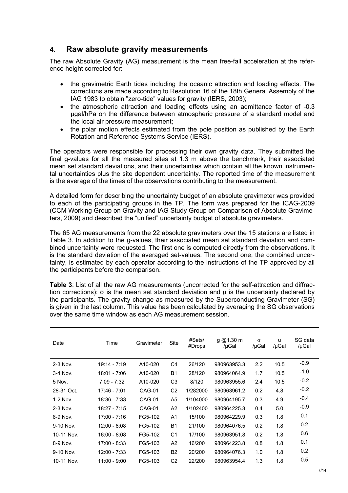#### **4. Raw absolute gravity measurements**

The raw Absolute Gravity (AG) measurement is the mean free-fall acceleration at the reference height corrected for:

- the gravimetric Earth tides including the oceanic attraction and loading effects. The corrections are made according to Resolution 16 of the 18th General Assembly of the IAG 1983 to obtain "zero-tide" values for gravity (IERS, 2003);
- the atmospheric attraction and loading effects using an admittance factor of -0.3 µgal/hPa on the difference between atmospheric pressure of a standard model and the local air pressure measurement;
- the polar motion effects estimated from the pole position as published by the Earth Rotation and Reference Systems Service (IERS).

The operators were responsible for processing their own gravity data. They submitted the final g-values for all the measured sites at 1.3 m above the benchmark, their associated mean set standard deviations, and their uncertainties which contain all the known instrumental uncertainties plus the site dependent uncertainty. The reported time of the measurement is the average of the times of the observations contributing to the measurement.

A detailed form for describing the uncertainty budget of an absolute gravimeter was provided to each of the participating groups in the TP. The form was prepared for the ICAG-2009 (CCM Working Group on Gravity and IAG Study Group on Comparison of Absolute Gravimeters, 2009) and described the "unified" uncertainty budget of absolute gravimeters.

The 65 AG measurements from the 22 absolute gravimeters over the 15 stations are listed in Table 3. In addition to the g-values, their associated mean set standard deviation and combined uncertainty were requested. The first one is computed directly from the observations. It is the standard deviation of the averaged set-values. The second one, the combined uncertainty, is estimated by each operator according to the instructions of the TP approved by all the participants before the comparison.

**Table 3**: List of all the raw AG measurements (uncorrected for the self-attraction and diffraction corrections): σ is the mean set standard deviation and u is the uncertainty declared by the participants. The gravity change as measured by the Superconducting Gravimeter (SG) is given in the last column. This value has been calculated by averaging the SG observations over the same time window as each AG measurement session.

| Date       | Time           | Gravimeter | <b>Site</b>    | #Sets/<br>#Drops | g @1.30 m<br>/µGal | $\sigma$<br>/µGal | u<br>/µGal | SG data<br>/µGal |
|------------|----------------|------------|----------------|------------------|--------------------|-------------------|------------|------------------|
| 2-3 Nov.   | $19:14 - 7:19$ | A10-020    | C <sub>4</sub> | 26/120           | 980963953.3        | 2.2               | 10.5       | $-0.9$           |
| $3-4$ Nov. | 18:01 - 7:06   | A10-020    | <b>B1</b>      | 28/120           | 980964064.9        | 1.7               | 10.5       | $-1.0$           |
| 5 Nov.     | $7:09 - 7:32$  | A10-020    | C <sub>3</sub> | 8/120            | 980963955.6        | 2.4               | 10.5       | $-0.2$           |
| 28-31 Oct. | 17:46 - 7:01   | CAG-01     | C <sub>2</sub> | 1/282000         | 980963961.2        | 0.2               | 4.8        | $-0.2$           |
| $1-2$ Nov. | $18:36 - 7:33$ | CAG-01     | A5             | 1/104000         | 980964195.7        | 0.3               | 4.9        | $-0.4$           |
| $2-3$ Nov. | $18:27 - 7:15$ | CAG-01     | A2             | 1/102400         | 980964225.3        | 0.4               | 5.0        | $-0.9$           |
| 8-9 Nov.   | 17:00 - 7:16   | FG5-102    | A <sub>1</sub> | 15/100           | 980964229.9        | 0.3               | 1.8        | 0.1              |
| 9-10 Nov.  | 12:00 - 8:08   | FG5-102    | <b>B1</b>      | 21/100           | 980964076.5        | 0.2               | 1.8        | 0.2              |
| 10-11 Nov. | $16:00 - 8:08$ | FG5-102    | C <sub>1</sub> | 17/100           | 980963951.8        | 0.2               | 1.8        | 0.6              |
| 8-9 Nov.   | $17:00 - 8:33$ | FG5-103    | A2             | 16/200           | 980964223.8        | 0.8               | 1.8        | 0.1              |
| 9-10 Nov.  | $12:00 - 7:33$ | FG5-103    | <b>B2</b>      | 20/200           | 980964076.3        | 1.0               | 1.8        | 0.2              |
| 10-11 Nov. | 11:00 - 9:00   | FG5-103    | C <sub>2</sub> | 22/200           | 980963954.4        | 1.3               | 1.8        | 0.5              |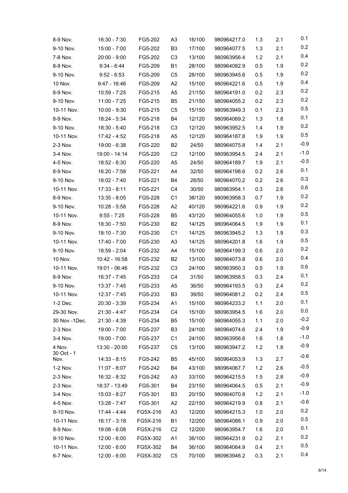| 8-9 Nov.      | $16:30 - 7:30$ | FG5-202  | A3             | 16/100 | 980964217.0 | 1.3 | 2.1 | 0.1    |
|---------------|----------------|----------|----------------|--------|-------------|-----|-----|--------|
| 9-10 Nov.     | 15:00 - 7:00   | FG5-202  | B <sub>3</sub> | 17/100 | 980964077.5 | 1.3 | 2.1 | 0.2    |
| 7-8 Nov.      | $20:00 - 9:00$ | FG5-202  | C <sub>3</sub> | 13/100 | 980963956.4 | 1.2 | 2.1 | 0.4    |
| 8-9 Nov.      | $9:34 - 6:44$  | FG5-209  | <b>B1</b>      | 28/100 | 980964082.9 | 0.5 | 1.9 | 0.2    |
| 9-10 Nov.     | $9:52 - 6:53$  | FG5-209  | C <sub>5</sub> | 28/100 | 980963945.6 | 0.5 | 1.9 | 0.2    |
| 10 Nov.       | $9:47 - 16:46$ | FG5-209  | A <sub>2</sub> | 15/100 | 980964221.6 | 0.5 | 1.9 | 0.4    |
| 8-9 Nov.      | 10:59 - 7:25   | FG5-215  | A5             | 21/150 | 980964191.0 | 0.2 | 2.3 | 0.2    |
| 9-10 Nov.     | 11:00 - 7:25   | FG5-215  | B <sub>5</sub> | 21/150 | 980964055.2 | 0.2 | 2.3 | 0.2    |
| 10-11 Nov.    | $10:00 - 9:30$ | FG5-215  | C5             | 15/150 | 980963949.3 | 0.1 | 2.3 | 0.5    |
| 8-9 Nov.      | 18:24 - 5:34   | FG5-218  | B4             | 12/120 | 980964069.2 | 1.3 | 1.8 | 0.1    |
| 9-10 Nov.     | 18:30 - 5:40   | FG5-218  | C <sub>3</sub> | 12/120 | 980963952.5 | 1.4 | 1.9 | 0.2    |
| 10-11 Nov.    | 17:42 - 4:52   | FG5-218  | A <sub>5</sub> | 12/120 | 980964187.8 | 1.9 | 1.9 | 0.5    |
| 2-3 Nov.      | 19:00 - 6:38   | FG5-220  | B <sub>2</sub> | 24/50  | 980964075.8 | 1.4 | 2.1 | $-0.9$ |
| 3-4 Nov.      | 19:00 - 14:14  | FG5-220  | C <sub>2</sub> | 12/100 | 980963954.5 | 2.4 | 2.1 | $-1.0$ |
| 4-5 Nov.      | 18:52 - 6:30   | FG5-220  | A5             | 24/50  | 980964189.7 | 1.9 | 2.1 | $-0.5$ |
| 8-9 Nov.      | 16:20 - 7:58   | FG5-221  | A4             | 32/50  | 980964198.6 | 0.2 | 2.6 | 0.1    |
| 9-10 Nov.     | 18:02 - 7:40   | FG5-221  | B4             | 28/50  | 980964070.2 | 0.2 | 2.6 | 0.3    |
| 10-11 Nov.    | $17:33 - 8:11$ | FG5-221  | C4             | 30/50  | 980963954.1 | 0.3 | 2.6 | 0.6    |
| 8-9 Nov.      | $13:35 - 8:05$ | FG5-228  | C <sub>1</sub> | 38/120 | 980963958.3 | 0.7 | 1.9 | 0.2    |
| 9-10 Nov.     | $10:28 - 5:58$ | FG5-228  | A <sub>2</sub> | 40/120 | 980964221.6 | 0.9 | 1.9 | 0.2    |
| 10-11 Nov.    | $9:55 - 7:25$  | FG5-228  | B <sub>5</sub> | 43/120 | 980964055.6 | 1.0 | 1.9 | 0.5    |
| 8-9 Nov.      | 18:30 - 7:50   | FG5-230  | B <sub>2</sub> | 14/125 | 980964064.5 | 1.9 | 1.9 | 0.1    |
| 9-10 Nov.     | $18:10 - 7:30$ | FG5-230  | C <sub>1</sub> | 14/125 | 980963945.2 | 1.3 | 1.9 | 0.3    |
| 10-11 Nov.    | 17:40 - 7:00   | FG5-230  | A <sub>3</sub> | 14/125 | 980964201.8 | 1.6 | 1.9 | 0.5    |
| 9-10 Nov.     | 18:59 - 2:04   | FG5-232  | A4             | 15/100 | 980964199.3 | 0.6 | 2.0 | 0.2    |
| 10 Nov.       | 10:42 - 16:58  | FG5-232  | B <sub>2</sub> | 13/100 | 980964073.8 | 0.6 | 2.0 | 0.4    |
| 10-11 Nov.    | 19:01 - 06:46  | FG5-232  | C <sub>3</sub> | 24/100 | 980963950.3 | 0.5 | 1.9 | 0.6    |
| 8-9 Nov.      | 16:37 - 7:45   | FG5-233  | C4             | 31/50  | 980963958.5 | 0.3 | 2.4 | 0.1    |
| 9-10 Nov.     | $13:37 - 7:45$ | FG5-233  | A <sub>5</sub> | 36/50  | 980964193.5 | 0.3 | 2.4 | 0.2    |
| 10-11 Nov.    | $12:37 - 7:45$ | FG5-233  | B <sub>3</sub> | 39/50  | 980964081.2 | 0.2 | 2.4 | 0.5    |
| 1-2 Dec.      | $20:30 - 3:39$ | FG5-234  | A1             | 15/100 | 980964233.2 | 1.1 | 2.0 | 0.1    |
| 29-30 Nov.    | $21:30 - 4:47$ | FG5-234  | C4             | 15/100 | 980963954.5 | 1.6 | 2.0 | 0.0    |
| 30 Nov -1Dec. | $21:30 - 4:39$ | FG5-234  | B5             | 15/100 | 980964055.3 | 1.1 | 2.0 | $-0.2$ |
| 2-3 Nov.      | 19:00 - 7:00   | FG5-237  | B <sub>3</sub> | 24/100 | 980964074.6 | 2.4 | 1.9 | $-0.9$ |
| 3-4 Nov.      | 19:00 - 7:00   | FG5-237  | C1             | 24/100 | 980963956.6 | 1.6 | 1.8 | $-1.0$ |
| 4 Nov.        | 13:30 - 20:00  | FG5-237  | C5             | 13/100 | 980963947.2 | 1.2 | 1.8 | $-0.9$ |
| 30 Oct - 1    |                |          |                |        |             |     |     | $-0.6$ |
| Nov.          | $14:33 - 8:15$ | FG5-242  | B5             | 45/100 | 980964053.9 | 1.3 | 2.7 | $-0.5$ |
| 1-2 Nov.      | $11:07 - 8:07$ | FG5-242  | B4             | 43/100 | 980964067.7 | 1.2 | 2.6 | $-0.9$ |
| 2-3 Nov.      | 16:32 - 8:32   | FG5-242  | A3             | 33/100 | 980964215.5 | 1.5 | 2.8 | $-0.9$ |
| 2-3 Nov.      | 18:37 - 13:49  | FG5-301  | B4             | 23/150 | 980964064.5 | 0.5 | 2.1 | $-1.0$ |
| 3-4 Nov.      | $15:03 - 8:27$ | FG5-301  | B <sub>3</sub> | 20/150 | 980964070.8 | 1.2 | 2.1 | $-0.6$ |
| 4-5 Nov.      | 13:28 - 7:47   | FG5-301  | A <sub>2</sub> | 22/150 | 980964219.9 | 0.8 | 2.1 | 0.2    |
| 9-10 Nov.     | 17:44 - 4:44   | FG5X-216 | A3             | 12/200 | 980964215.3 | 1.0 | 2.0 | 0.5    |
| 10-11 Nov.    | 16:17 - 3:18   | FG5X-216 | <b>B1</b>      | 12/200 | 980964088.1 | 0.9 | 2.0 | 0.1    |
| 8-9 Nov.      | $19:08 - 6:08$ | FG5X-216 | C <sub>2</sub> | 12/200 | 980963954.7 | 1.6 | 2.0 |        |
| 9-10 Nov.     | $12:00 - 6:00$ | FG5X-302 | A1             | 36/100 | 980964231.9 | 0.2 | 2.1 | 0.2    |
| 10-11 Nov.    | $12:00 - 6:00$ | FG5X-302 | B4             | 36/100 | 980964064.9 | 0.4 | 2.1 | 0.5    |
| 6-7 Nov.      | $12:00 - 6:00$ | FG5X-302 | C <sub>5</sub> | 70/100 | 980963946.2 | 0.3 | 2.1 | 0.4    |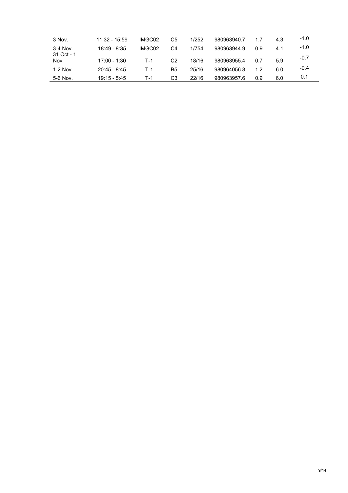| 3 Nov.             | $11:32 - 15:59$ | IMGC02 | C5 | 1/252 | 980963940.7 | 17  | 4.3 | $-1.0$ |
|--------------------|-----------------|--------|----|-------|-------------|-----|-----|--------|
| $3-4$ Nov.         | 18:49 - 8:35    | IMGC02 | C4 | 1/754 | 980963944.9 | 0.9 | 4.1 | $-1.0$ |
| 31 Oct - 1<br>Nov. | 17:00 - 1:30    | T-1    | C2 | 18/16 | 980963955.4 | 0.7 | 5.9 | $-0.7$ |
| $1-2$ Nov.         | $20:45 - 8:45$  | T-1    | Β5 | 25/16 | 980964056.8 | 1.2 | 6.0 | $-0.4$ |
| 5-6 Nov.           | $19:15 - 5:45$  | T-1    | C3 | 22/16 | 980963957.6 | 0.9 | 6.0 | 0.1    |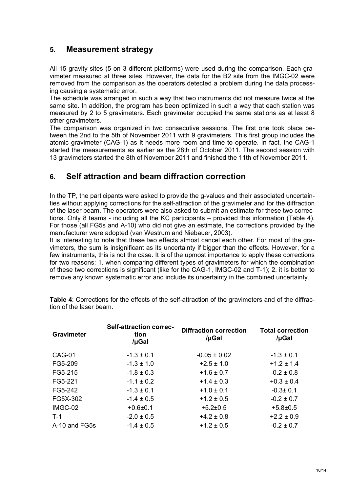### **5. Measurement strategy**

All 15 gravity sites (5 on 3 different platforms) were used during the comparison. Each gravimeter measured at three sites. However, the data for the B2 site from the IMGC-02 were removed from the comparison as the operators detected a problem during the data processing causing a systematic error.

The schedule was arranged in such a way that two instruments did not measure twice at the same site. In addition, the program has been optimized in such a way that each station was measured by 2 to 5 gravimeters. Each gravimeter occupied the same stations as at least 8 other gravimeters.

The comparison was organized in two consecutive sessions. The first one took place between the 2nd to the 5th of November 2011 with 9 gravimeters. This first group includes the atomic gravimeter (CAG-1) as it needs more room and time to operate. In fact, the CAG-1 started the measurements as earlier as the 28th of October 2011. The second session with 13 gravimeters started the 8th of November 2011 and finished the 11th of November 2011.

## **6. Self attraction and beam diffraction correction**

In the TP, the participants were asked to provide the g-values and their associated uncertainties without applying corrections for the self-attraction of the gravimeter and for the diffraction of the laser beam. The operators were also asked to submit an estimate for these two corrections. Only 8 teams - including all the KC participants – provided this information (Table 4). For those (all FG5s and A-10) who did not give an estimate, the corrections provided by the manufacturer were adopted (van Westrum and Niebauer, 2003).

It is interesting to note that these two effects almost cancel each other. For most of the gravimeters, the sum is insignificant as its uncertainty if bigger than the effects. However, for a few instruments, this is not the case. It is of the upmost importance to apply these corrections for two reasons: 1. when comparing different types of gravimeters for which the combination of these two corrections is significant (like for the CAG-1, IMGC-02 and T-1); 2. it is better to remove any known systematic error and include its uncertainty in the combined uncertainty.

| <b>Gravimeter</b> | <b>Self-attraction correc-</b><br>tion<br>/µGal | <b>Diffraction correction</b><br>/µGal | <b>Total correction</b><br>/µGal |
|-------------------|-------------------------------------------------|----------------------------------------|----------------------------------|
| CAG-01            | $-1.3 \pm 0.1$                                  | $-0.05 \pm 0.02$                       | $-1.3 \pm 0.1$                   |
| FG5-209           | $-1.3 \pm 1.0$                                  | $+2.5 \pm 1.0$                         | $+1.2 \pm 1.4$                   |
| FG5-215           | $-1.8 \pm 0.3$                                  | $+1.6 \pm 0.7$                         | $-0.2 \pm 0.8$                   |
| FG5-221           | $-1.1 \pm 0.2$                                  | $+1.4 \pm 0.3$                         | $+0.3 \pm 0.4$                   |
| FG5-242           | $-1.3 \pm 0.1$                                  | $+1.0 \pm 0.1$                         | $-0.3 \pm 0.1$                   |
| FG5X-302          | $-1.4 \pm 0.5$                                  | $+1.2 \pm 0.5$                         | $-0.2 \pm 0.7$                   |
| IMGC-02           | $+0.6 + 0.1$                                    | $+5.2 \pm 0.5$                         | $+5.8 \pm 0.5$                   |
| $T-1$             | $-2.0 \pm 0.5$                                  | $+4.2 \pm 0.8$                         | $+2.2 \pm 0.9$                   |
| A-10 and FG5s     | $-1.4 \pm 0.5$                                  | $+1.2 \pm 0.5$                         | $-0.2 \pm 0.7$                   |

**Table 4**: Corrections for the effects of the self-attraction of the gravimeters and of the diffraction of the laser beam.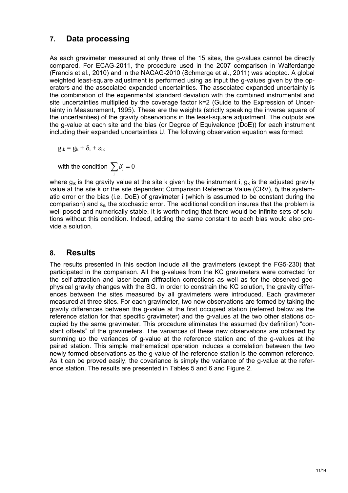#### **7. Data processing**

As each gravimeter measured at only three of the 15 sites, the g-values cannot be directly compared. For ECAG-2011, the procedure used in the 2007 comparison in Walferdange (Francis et al., 2010) and in the NACAG-2010 (Schmerge et al., 2011) was adopted. A global weighted least-square adjustment is performed using as input the g-values given by the operators and the associated expanded uncertainties. The associated expanded uncertainty is the combination of the experimental standard deviation with the combined instrumental and site uncertainties multiplied by the coverage factor k=2 (Guide to the Expression of Uncertainty in Measurement, 1995). These are the weights (strictly speaking the inverse square of the uncertainties) of the gravity observations in the least-square adjustment. The outputs are the g-value at each site and the bias (or Degree of Equivalence (DoE)) for each instrument including their expanded uncertainties U. The following observation equation was formed:

$$
g_{ik}=g_k+\delta_i+\epsilon_{ik}
$$

with the condition  $\sum_i \delta_i = 0$ 

where  $g_{ik}$  is the gravity value at the site k given by the instrument i,  $g_k$  is the adjusted gravity value at the site k or the site dependent Comparison Reference Value (CRV), δi the systematic error or the bias (i.e. DoE) of gravimeter i (which is assumed to be constant during the comparison) and  $\varepsilon_{ik}$  the stochastic error. The additional condition insures that the problem is well posed and numerically stable. It is worth noting that there would be infinite sets of solutions without this condition. Indeed, adding the same constant to each bias would also provide a solution.

#### **8. Results**

The results presented in this section include all the gravimeters (except the FG5-230) that participated in the comparison. All the g-values from the KC gravimeters were corrected for the self-attraction and laser beam diffraction corrections as well as for the observed geophysical gravity changes with the SG. In order to constrain the KC solution, the gravity differences between the sites measured by all gravimeters were introduced. Each gravimeter measured at three sites. For each gravimeter, two new observations are formed by taking the gravity differences between the g-value at the first occupied station (referred below as the reference station for that specific gravimeter) and the g-values at the two other stations occupied by the same gravimeter. This procedure eliminates the assumed (by definition) "constant offsets" of the gravimeters. The variances of these new observations are obtained by summing up the variances of g-value at the reference station and of the g-values at the paired station. This simple mathematical operation induces a correlation between the two newly formed observations as the g-value of the reference station is the common reference. As it can be proved easily, the covariance is simply the variance of the g-value at the reference station. The results are presented in Tables 5 and 6 and Figure 2.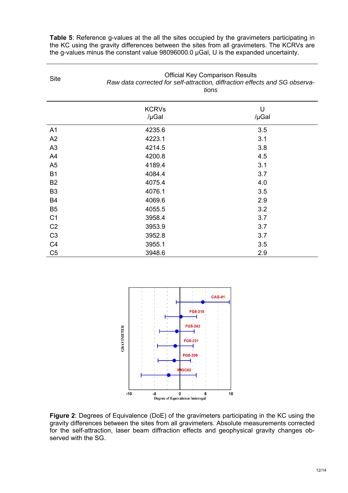**Table 5**: Reference g-values at the all the sites occupied by the gravimeters participating in the KC using the gravity differences between the sites from all gravimeters. The KCRVs are the g-values minus the constant value 98096000.0 µGal, U is the expanded uncertainty.

| <b>Site</b>    |                       | <b>Official Key Comparison Results</b><br>Raw data corrected for self-attraction, diffraction effects and SG observa-<br>tions |  |  |
|----------------|-----------------------|--------------------------------------------------------------------------------------------------------------------------------|--|--|
|                | <b>KCRVs</b><br>/µGal | U<br>/µGal                                                                                                                     |  |  |
| A <sub>1</sub> | 4235.6                | 3.5                                                                                                                            |  |  |
| A2             | 4223.1                | 3.1                                                                                                                            |  |  |
| A3             | 4214.5                | 3.8                                                                                                                            |  |  |
| A4             | 4200.8                | 4.5                                                                                                                            |  |  |
| A <sub>5</sub> | 4189.4                | 3.1                                                                                                                            |  |  |
| <b>B1</b>      | 4084.4                | 3.7                                                                                                                            |  |  |
| B <sub>2</sub> | 4075.4                | 4.0                                                                                                                            |  |  |
| B <sub>3</sub> | 4076.1                | 3.5                                                                                                                            |  |  |
| B4             | 4069.6                | 2.9                                                                                                                            |  |  |
| B <sub>5</sub> | 4055.5                | 3.2                                                                                                                            |  |  |
| C <sub>1</sub> | 3958.4                | 3.7                                                                                                                            |  |  |
| C <sub>2</sub> | 3953.9                | 3.7                                                                                                                            |  |  |
| C <sub>3</sub> | 3952.8                | 3.7                                                                                                                            |  |  |
| C <sub>4</sub> | 3955.1                | 3.5                                                                                                                            |  |  |
| C <sub>5</sub> | 3948.6                | 2.9                                                                                                                            |  |  |



**Figure 2**: Degrees of Equivalence (DoE) of the gravimeters participating in the KC using the gravity differences between the sites from all gravimeters. Absolute measurements corrected for the self-attraction, laser beam diffraction effects and geophysical gravity changes observed with the SG.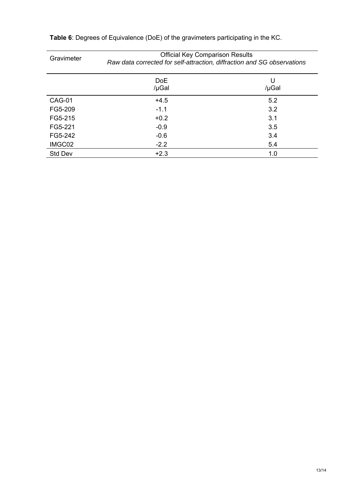| Gravimeter | <b>Official Key Comparison Results</b><br>Raw data corrected for self-attraction, diffraction and SG observations |            |  |  |  |
|------------|-------------------------------------------------------------------------------------------------------------------|------------|--|--|--|
|            | <b>DoE</b><br>/µGal                                                                                               | U<br>/µGal |  |  |  |
| CAG-01     | $+4.5$                                                                                                            | 5.2        |  |  |  |
| FG5-209    | $-1.1$                                                                                                            | 3.2        |  |  |  |
| FG5-215    | $+0.2$                                                                                                            | 3.1        |  |  |  |
| FG5-221    | $-0.9$                                                                                                            | 3.5        |  |  |  |
| FG5-242    | $-0.6$                                                                                                            | 3.4        |  |  |  |
| IMGC02     | $-2.2$                                                                                                            | 5.4        |  |  |  |
| Std Dev    | $+2.3$                                                                                                            | 1.0        |  |  |  |

**Table 6**: Degrees of Equivalence (DoE) of the gravimeters participating in the KC.